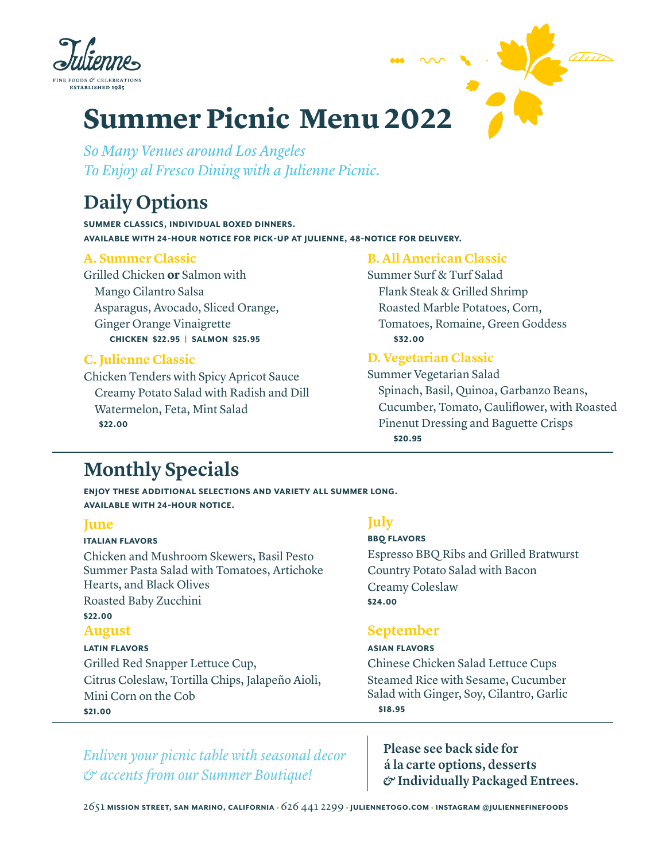



# **Summer Picnic Menu 2022**

*So Many Venues around Los Angeles To Enjoy al Fresco Dining with a Julienne Picnic.*

# **Daily Options**

**summer classics, individual boxed dinners. available with 24-hour notice for pick-up at julienne, 48-notice for delivery.** 

### **A. Summer Classic**

Grilled Chicken **or** Salmon with Mango Cilantro Salsa Asparagus, Avocado, Sliced Orange, Ginger Orange Vinaigrette **Chicken \$22.95 | Salmon \$25.95** 

### **C. Julienne Classic**

Chicken Tenders with Spicy Apricot Sauce Creamy Potato Salad with Radish and Dill Watermelon, Feta, Mint Salad **\$22.00**

### **B. All American Classic**

Summer Surf & Turf Salad Flank Steak & Grilled Shrimp Roasted Marble Potatoes, Corn, Tomatoes, Romaine, Green Goddess **\$32.00**

### **D. Vegetarian Classic**

Summer Vegetarian Salad Spinach, Basil, Quinoa, Garbanzo Beans, Cucumber, Tomato, Cauliflower, with Roasted Pinenut Dressing and Baguette Crisps **\$20.95** 

# **Monthly Specials**

**enjoy these additional selections and variety all summer long. available with 24-hour notice.**

### **June**

#### **Italian flavors**

Chicken and Mushroom Skewers, Basil Pesto Summer Pasta Salad with Tomatoes, Artichoke Hearts, and Black Olives Roasted Baby Zucchini **\$22.00 August latin flavors** Grilled Red Snapper Lettuce Cup,

Citrus Coleslaw, Tortilla Chips, Jalapeño Aioli, Mini Corn on the Cob **\$21.00**

## **July**

### **BBQ flavors**

Espresso BBQ Ribs and Grilled Bratwurst Country Potato Salad with Bacon Creamy Coleslaw **\$24.00** 

## **September**

#### **asian flavors**

Chinese Chicken Salad Lettuce Cups Steamed Rice with Sesame, Cucumber Salad with Ginger, Soy, Cilantro, Garlic **\$18.95** 

*Enliven your picnic table with seasonal decor & accents from our Summer Boutique!*

**Please see back side for á la carte options, desserts**  *&* **Individually Packaged Entrees.**

2651 **mission street, san marino, california** 626 441 2299 **juliennetogo.com instagram @juliennefinefoods**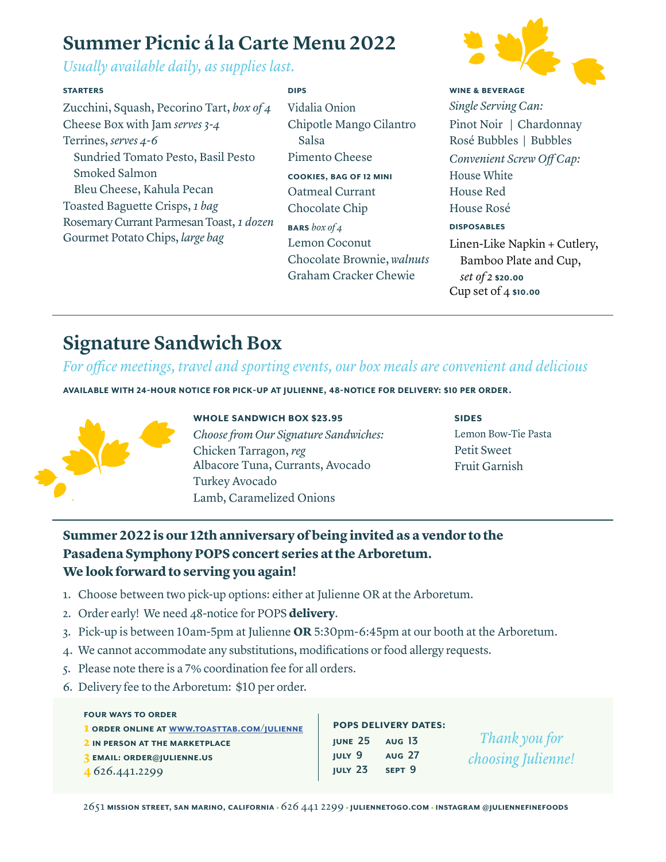# **Summer Picnic á la Carte Menu 2022**

*Usually available daily, as supplies last.*

#### **starters**

Zucchini, Squash, Pecorino Tart, *box of 4* Cheese Box with Jam *serves 3-4*  Terrines, *serves 4-6*  Sundried Tomato Pesto, Basil Pesto Smoked Salmon Bleu Cheese, Kahula Pecan Toasted Baguette Crisps, *1 bag*  Rosemary Currant Parmesan Toast, *1 dozen*  Gourmet Potato Chips, *large bag* 

Vidalia Onion Chipotle Mango Cilantro Salsa

Pimento Cheese **cookies, bag of 12 mini**

**Dips**

Oatmeal Currant Chocolate Chip

**bars** *box of 4* Lemon Coconut Chocolate Brownie, *walnuts* Graham Cracker Chewie



*Single Serving Can:* Pinot Noir | Chardonnay Rosé Bubbles | Bubbles *Convenient Screw Off Cap:* House White House Red House Rosé **Disposables**  Linen-Like Napkin + Cutlery,

Bamboo Plate and Cup, *set of 2* **\$20.00** Cup set of 4 **\$10.00**

# **Signature Sandwich Box**

# *For office meetings, travel and sporting events, our box meals are convenient and delicious*

**available with 24-hour notice for pick-up at julienne, 48-notice for delivery: \$10 per order.** 



#### **whole sandwich box \$23.95**

*Choose from Our Signature Sandwiches:* Chicken Tarragon, *reg*  Albacore Tuna, Currants, Avocado Turkey Avocado Lamb, Caramelized Onions

**Sides** Lemon Bow-Tie Pasta Petit Sweet Fruit Garnish

# **Summer 2022 is our 12th anniversary of being invited as a vendor to the Pasadena Symphony POPS concert series at the Arboretum. We look forward to serving you again!**

- 1. Choose between two pick-up options: either at Julienne OR at the Arboretum.
- 2. Order early! We need 48-notice for POPS **delivery**.
- 3. Pick-up is between 10am-5pm at Julienne **OR** 5:30pm-6:45pm at our booth at the Arboretum.
- 4. We cannot accommodate any substitutions, modifications or food allergy requests.
- 5. Please note there is a 7% coordination fee for all orders.
- 6. Delivery fee to the Arboretum: \$10 per order.

#### **four ways to order**

**1 order online at www.toasttab.com/julienne 2 in person at the marketplace** 

- **3 email: order@julienne.us**
- **4** 626.441.2299

### **pops delivery dates:**

**june 25 aug 13 july 9 july 23 aug 27 sept 9**

*Thank you for choosing Julienne!*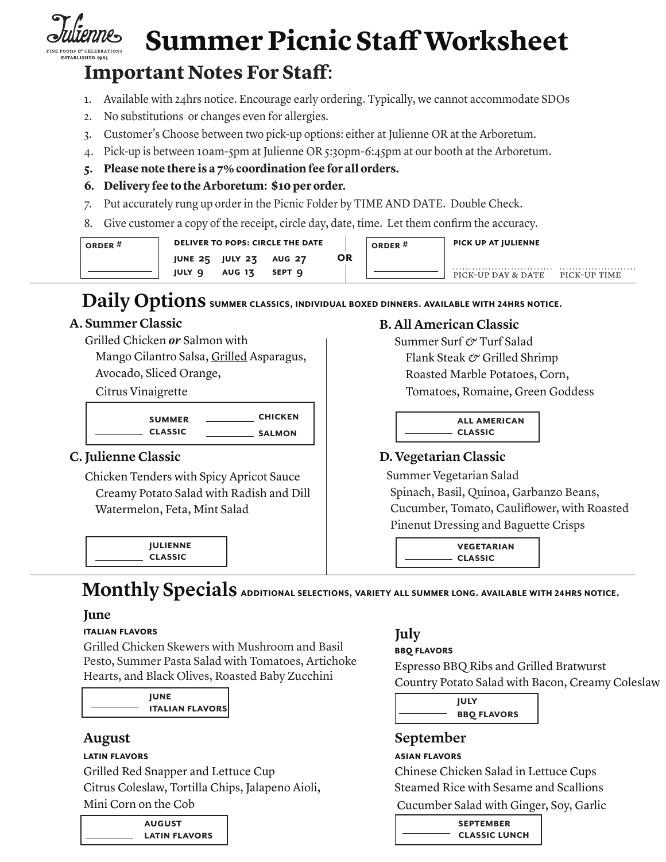

# **Summer Picnic Staff Worksheet**

# **Important Notes For Staff**:

- 1. Available with 24hrs notice. Encourage early ordering. Typically, we cannot accommodate SDOs
- 2. No substitutions or changes even for allergies.
- 3. Customer's Choose between two pick-up options: either at Julienne OR at the Arboretum.
- 4. Pick-up is between 10am-5pm at Julienne OR 5:30pm-6:45pm at our booth at the Arboretum.
- **5. Please note there is a 7% coordination fee for all orders.**
- **6. Delivery fee to the Arboretum: \$10 per order.**
- 7. Put accurately rung up order in the Picnic Folder by TIME AND DATE. Double Check.
- 8. Give customer a copy of the receipt, circle day, date, time. Let them confirm the accuracy.

| ORDER <sup>#</sup> | <b>DELIVER TO POPS: CIRCLE THE DATE</b> |                        |               |    | PICK UP AT JULIENNE<br>ORDER <sup>#</sup> |                    |              |
|--------------------|-----------------------------------------|------------------------|---------------|----|-------------------------------------------|--------------------|--------------|
|                    |                                         | <b>JUNE 25 JULY 23</b> | <b>AUG 27</b> | OR |                                           |                    |              |
|                    | <b>JULY 9</b>                           | <b>AUG 13</b>          | SEPT Q        |    |                                           | PICK-UP DAY & DATE | PICK-UP TIME |

# **Daily Options summer classics, individual boxed dinners. available with 24hrs notice.**

### **A. Summer Classic**

- Grilled Chicken *or* Salmon with Mango Cilantro Salsa, Grilled Asparagus,
	- Avocado, Sliced Orange,

Citrus Vinaigrette

| <b>SUMMER</b>  | <b>CHICKEN</b> |
|----------------|----------------|
| <b>CLASSIC</b> | <b>SALMON</b>  |

## **C. Julienne Classic**

Chicken Tenders with Spicy Apricot Sauce Creamy Potato Salad with Radish and Dill Watermelon, Feta, Mint Salad

> **Julienne Classic**

### **B. All American Classic**

Summer Surf *&* Turf Salad Flank Steak *&* Grilled Shrimp Roasted Marble Potatoes, Corn, Tomatoes, Romaine, Green Goddess

> **All American Classic**

# **D. Vegetarian Classic**

 Summer Vegetarian Salad Spinach, Basil, Quinoa, Garbanzo Beans, Cucumber, Tomato, Cauliflower, with Roasted Pinenut Dressing and Baguette Crisps

> **Vegetarian Classic**

# **Monthly Specials additional selections, variety all summer long. available with 24hrs notice.**

### **June**

### **Italian flavors**

Grilled Chicken Skewers with Mushroom and Basil Pesto, Summer Pasta Salad with Tomatoes, Artichoke Hearts, and Black Olives, Roasted Baby Zucchini

**June Italian flavors** 

## **August**

### **latin flavors**

Grilled Red Snapper and Lettuce Cup Citrus Coleslaw, Tortilla Chips, Jalapeno Aioli, Mini Corn on the Cob

| <b>AUGUST</b>        |  |  |
|----------------------|--|--|
| <b>LATIN FLAVORS</b> |  |  |

# **July**

### **BBQ flavors**

Espresso BBQ Ribs and Grilled Bratwurst Country Potato Salad with Bacon, Creamy Coleslaw

**July BBQ flavors**

# **September**

### **asian flavors**

Chinese Chicken Salad in Lettuce Cups Steamed Rice with Sesame and Scallions Cucumber Salad with Ginger, Soy, Garlic